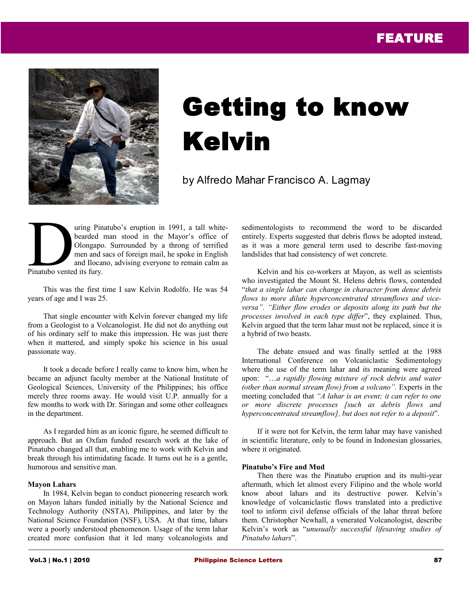

# Getting to know Kelvin

by Alfredo Mahar Francisco A. Lagmay

uring Pinatubo's eruption in 1991, a tall whitebearded man stood in the Mayor's office of Olongapo. Surrounded by a throng of terrified men and sacs of foreign mail, he spoke in English and Ilocano, advising everyone to remain calm as Finatubo vented its fury.

This was the first time I saw Kelvin Rodolfo. He was 54 years of age and I was 25.

That single encounter with Kelvin forever changed my life from a Geologist to a Volcanologist. He did not do anything out of his ordinary self to make this impression. He was just there when it mattered, and simply spoke his science in his usual passionate way.

It took a decade before I really came to know him, when he became an adjunct faculty member at the National Institute of Geological Sciences, University of the Philippines; his office merely three rooms away. He would visit U.P. annually for a few months to work with Dr. Siringan and some other colleagues in the department.

As I regarded him as an iconic figure, he seemed difficult to approach. But an Oxfam funded research work at the lake of Pinatubo changed all that, enabling me to work with Kelvin and break through his intimidating facade. It turns out he is a gentle, humorous and sensitive man.

#### **Mayon Lahars**

In 1984, Kelvin began to conduct pioneering research work on Mayon lahars funded initially by the National Science and Technology Authority (NSTA), Philippines, and later by the National Science Foundation (NSF), USA. At that time, lahars were a poorly understood phenomenon. Usage of the term lahar created more confusion that it led many volcanologists and sedimentologists to recommend the word to be discarded entirely. Experts suggested that debris flows be adopted instead, as it was a more general term used to describe fast-moving landslides that had consistency of wet concrete.

Kelvin and his co-workers at Mayon, as well as scientists who investigated the Mount St. Helens debris flows, contended "*that a single lahar can change in character from dense debris flows to more dilute hyperconcentrated streamflows and viceversa". "Either flow erodes or deposits along its path but the processes involved in each type differ*", they explained. Thus, Kelvin argued that the term lahar must not be replaced, since it is a hybrid of two beasts.

The debate ensued and was finally settled at the 1988 International Conference on Volcaniclastic Sedimentology where the use of the term lahar and its meaning were agreed upon: "…*a rapidly flowing mixture of rock debris and water (other than normal stream flow) from a volcano".* Experts in the meeting concluded that *"A lahar is an event; it can refer to one or more discrete processes [such as debris flows and hyperconcentrated streamflow], but does not refer to a deposit*".

If it were not for Kelvin, the term lahar may have vanished in scientific literature, only to be found in Indonesian glossaries, where it originated.

#### **Pinatubo's Fire and Mud**

Then there was the Pinatubo eruption and its multi-year aftermath, which let almost every Filipino and the whole world know about lahars and its destructive power. Kelvin's knowledge of volcaniclastic flows translated into a predictive tool to inform civil defense officials of the lahar threat before them. Christopher Newhall, a venerated Volcanologist, describe Kelvin's work as "*unusually successful lifesaving studies of Pinatubo lahars*".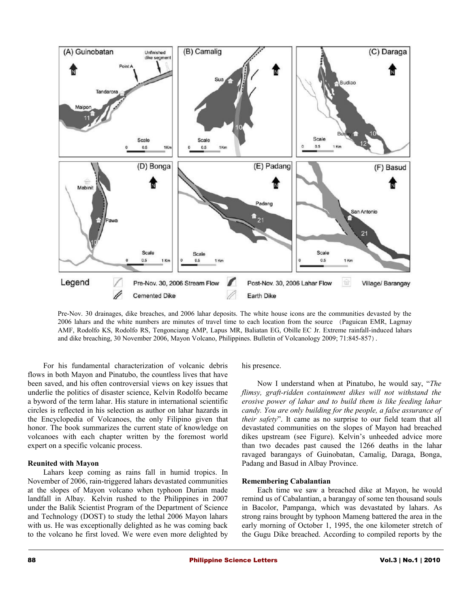

Pre-Nov. 30 drainages, dike breaches, and 2006 lahar deposits. The white house icons are the communities devasted by the 2006 lahars and the white numbers are minutes of travel time to each location from the source (Paguican EMR, Lagmay AMF, Rodolfo KS, Rodolfo RS, Tengonciang AMP, Lapus MR, Baliatan EG, Obille EC Jr. Extreme rainfall-induced lahars and dike breaching, 30 November 2006, Mayon Volcano, Philippines. Bulletin of Volcanology 2009; 71:845-857).

For his fundamental characterization of volcanic debris flows in both Mayon and Pinatubo, the countless lives that have been saved, and his often controversial views on key issues that underlie the politics of disaster science, Kelvin Rodolfo became a byword of the term lahar. His stature in international scientific circles is reflected in his selection as author on lahar hazards in the Encyclopedia of Volcanoes, the only Filipino given that honor. The book summarizes the current state of knowledge on volcanoes with each chapter written by the foremost world expert on a specific volcanic process.

#### **Reunited with Mayon**

Lahars keep coming as rains fall in humid tropics. In November of 2006, rain-triggered lahars devastated communities at the slopes of Mayon volcano when typhoon Durian made landfall in Albay. Kelvin rushed to the Philippines in 2007 under the Balik Scientist Program of the Department of Science and Technology (DOST) to study the lethal 2006 Mayon lahars with us. He was exceptionally delighted as he was coming back to the volcano he first loved. We were even more delighted by his presence.

Now I understand when at Pinatubo, he would say, "*The flimsy, graft-ridden containment dikes will not withstand the erosive power of lahar and to build them is like feeding lahar candy. You are only building for the people, a false assurance of their safety*". It came as no surprise to our field team that all devastated communities on the slopes of Mayon had breached dikes upstream (see Figure). Kelvin's unheeded advice more than two decades past caused the 1266 deaths in the lahar ravaged barangays of Guinobatan, Camalig, Daraga, Bonga, Padang and Basud in Albay Province.

#### **Remembering Cabalantian**

Each time we saw a breached dike at Mayon, he would remind us of Cabalantian, a barangay of some ten thousand souls in Bacolor, Pampanga, which was devastated by lahars. As strong rains brought by typhoon Mameng battered the area in the early morning of October 1, 1995, the one kilometer stretch of the Gugu Dike breached. According to compiled reports by the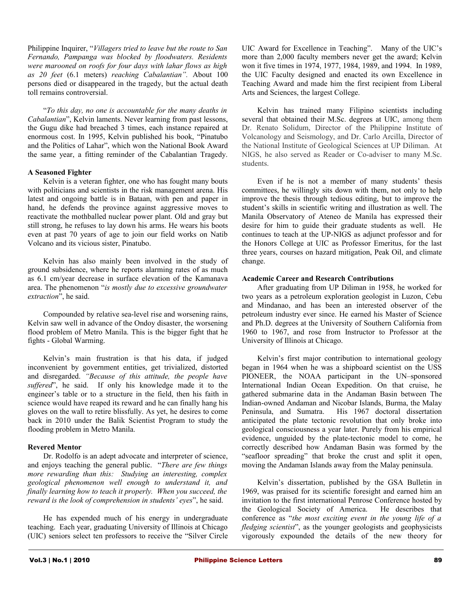Philippine Inquirer, "*Villagers tried to leave but the route to San Fernando, Pampanga was blocked by floodwaters. Residents were marooned on roofs for four days with lahar flows as high as 20 feet* (6.1 meters) *reaching Cabalantian".* About 100 persons died or disappeared in the tragedy, but the actual death toll remains controversial.

"*To this day, no one is accountable for the many deaths in Cabalantian*", Kelvin laments. Never learning from past lessons, the Gugu dike had breached 3 times, each instance repaired at enormous cost. In 1995, Kelvin published his book, "Pinatubo and the Politics of Lahar", which won the National Book Award the same year, a fitting reminder of the Cabalantian Tragedy.

## **A Seasoned Fighter**

Kelvin is a veteran fighter, one who has fought many bouts with politicians and scientists in the risk management arena. His latest and ongoing battle is in Bataan, with pen and paper in hand, he defends the province against aggressive moves to reactivate the mothballed nuclear power plant. Old and gray but still strong, he refuses to lay down his arms. He wears his boots even at past 70 years of age to join our field works on Natib Volcano and its vicious sister, Pinatubo.

Kelvin has also mainly been involved in the study of ground subsidence, where he reports alarming rates of as much as 6.1 cm/year decrease in surface elevation of the Kamanava area. The phenomenon "*is mostly due to excessive groundwater extraction*", he said.

Compounded by relative sea-level rise and worsening rains, Kelvin saw well in advance of the Ondoy disaster, the worsening flood problem of Metro Manila. This is the bigger fight that he fights - Global Warming.

Kelvin's main frustration is that his data, if judged inconvenient by government entities, get trivialized, distorted and disregarded. *"Because of this attitude, the people have suffered*", he said. If only his knowledge made it to the engineer's table or to a structure in the field, then his faith in science would have reaped its reward and he can finally hang his gloves on the wall to retire blissfully. As yet, he desires to come back in 2010 under the Balik Scientist Program to study the flooding problem in Metro Manila.

#### **Revered Mentor**

Dr. Rodolfo is an adept advocate and interpreter of science, and enjoys teaching the general public. "*There are few things more rewarding than this: Studying an interesting, complex geological phenomenon well enough to understand it, and finally learning how to teach it properly. When you succeed, the reward is the look of comprehension in students' eyes*", he said.

He has expended much of his energy in undergraduate teaching. Each year, graduating University of Illinois at Chicago (UIC) seniors select ten professors to receive the "Silver Circle UIC Award for Excellence in Teaching". Many of the UIC's more than 2,000 faculty members never get the award; Kelvin won it five times in 1974, 1977, 1984, 1989, and 1994. In 1989, the UIC Faculty designed and enacted its own Excellence in Teaching Award and made him the first recipient from Liberal Arts and Sciences, the largest College.

Kelvin has trained many Filipino scientists including several that obtained their M.Sc. degrees at UIC, among them Dr. Renato Solidum, Director of the Philippine Institute of Volcanology and Seismology, and Dr. Carlo Arcilla, Director of the National Institute of Geological Sciences at UP Diliman. At NIGS, he also served as Reader or Co-adviser to many M.Sc. students.

Even if he is not a member of many students' thesis committees, he willingly sits down with them, not only to help improve the thesis through tedious editing, but to improve the student's skills in scientific writing and illustration as well. The Manila Observatory of Ateneo de Manila has expressed their desire for him to guide their graduate students as well. He continues to teach at the UP-NIGS as adjunct professor and for the Honors College at UIC as Professor Emeritus, for the last three years, courses on hazard mitigation, Peak Oil, and climate change.

## **Academic Career and Research Contributions**

After graduating from UP Diliman in 1958, he worked for two years as a petroleum exploration geologist in Luzon, Cebu and Mindanao, and has been an interested observer of the petroleum industry ever since. He earned his Master of Science and Ph.D. degrees at the University of Southern California from 1960 to 1967, and rose from Instructor to Professor at the University of Illinois at Chicago.

Kelvin's first major contribution to international geology began in 1964 when he was a shipboard scientist on the USS PIONEER, the NOAA participant in the UN–sponsored International Indian Ocean Expedition. On that cruise, he gathered submarine data in the Andaman Basin between The Indian-owned Andaman and Nicobar Islands, Burma, the Malay Peninsula, and Sumatra. His 1967 doctoral dissertation anticipated the plate tectonic revolution that only broke into geological consciousness a year later. Purely from his empirical evidence, unguided by the plate-tectonic model to come, he correctly described how Andaman Basin was formed by the "seafloor spreading" that broke the crust and split it open, moving the Andaman Islands away from the Malay peninsula.

Kelvin's dissertation, published by the GSA Bulletin in 1969, was praised for its scientific foresight and earned him an invitation to the first international Penrose Conference hosted by the Geological Society of America. He describes that conference as "*the most exciting event in the young life of a fledging scientist*", as the younger geologists and geophysicists vigorously expounded the details of the new theory for